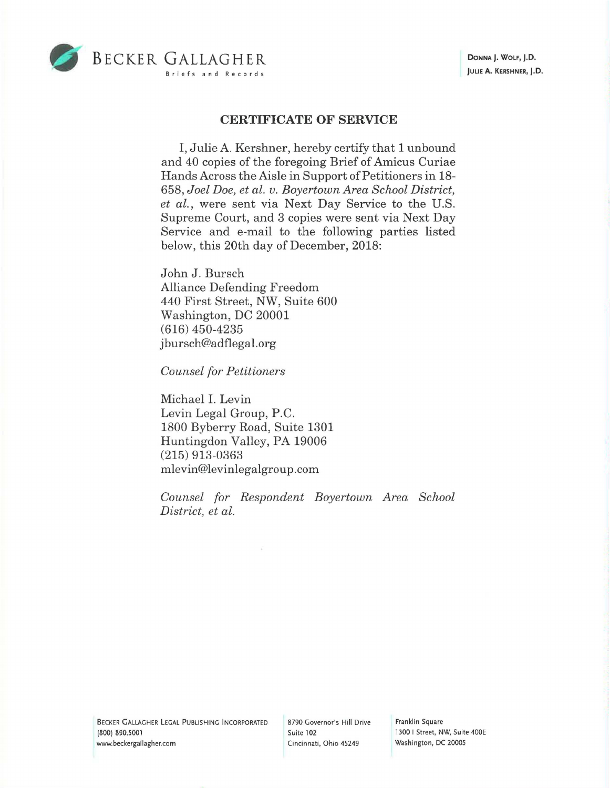

## **CERTIFICATE OF SERVICE**

I, Julie A. Kershner, hereby certify that 1 unbound and 40 copies of the foregoing Brief of Amicus Curiae Hands Across the Aisle in Support of Petitioners in 18- 658, *Joel Doe, et al. v. Boyertown Area School District, et al.,* were sent via Next Day Service to the U.S. Supreme Court, and 3 copies were sent via Next Day Service and e-mail to the following parties listed below, this 20th day of December, 2018:

John J. Bursch Alliance Defending Freedom 440 First Street, NW, Suite 600 Washington, DC 20001 (616) 450-4235 j bursch@adflegal.org

*Counsel for Petitioners* 

Michael I. Levin Levin Legal Group, P.C. 1800 Byberry Road, Suite 1301 Huntingdon Valley, PA 19006 (215) 913-0363 mlevin@levinlegalgroup.com

*Counsel for Respondent Boyertown Area School District, et al.* 

BECKER GALLAGHER LEGAL PUBLISHING INCORPORATED (800) 890.5001 www.beckergallagher.com

8790 Governor's Hill Drive Suite 102 Cincinnati, Ohio 45249

Franklin Square 1300 I Street, NW, Suite 400E Washington, DC 20005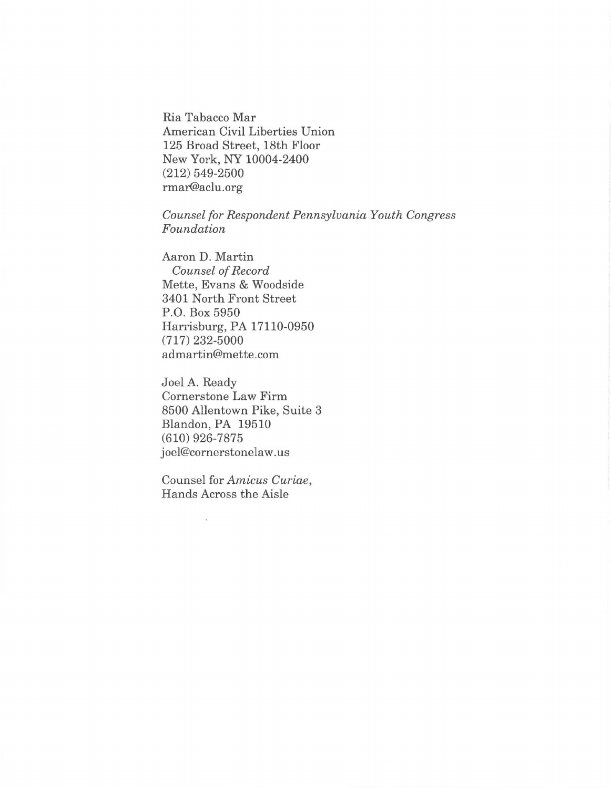Ria Tabacco Mar American Civil Liberties Union 125 Broad Street, 18th Floor New York, NY 10004-2400 (212) 549-2500 rmar@aclu.org

*Counsel for Respondent Pennsylvania Youth Congress Foundation* 

Aaron D. Martin *Counsel of Record*  Mette, Evans & Woodside 3401 North Front Street P.O. Box 5950 Harrisburg, PA 17110-0950 (717) 232-5000 admartin@mette.com

Joel A. Ready Cornerstone Law Firm 8500 Allentown Pike, Suite 3 Blandon, PA 19510 (610) 926-7875 joel@cornerstonelaw.us

Counsel for *Amicus Curiae,*  Hands Across the Aisle

J.